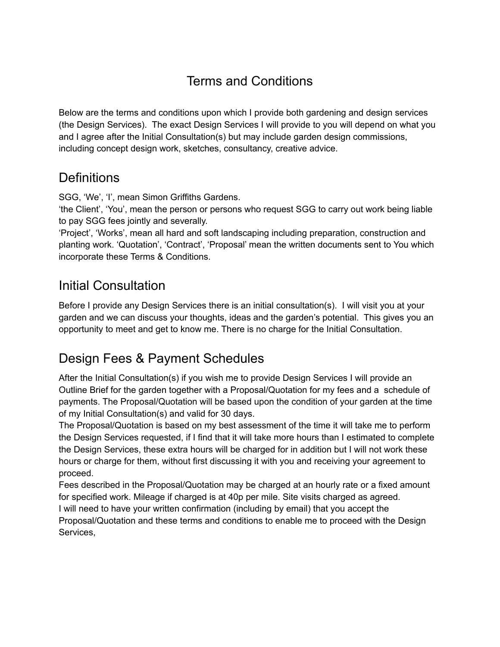# Terms and Conditions

Below are the terms and conditions upon which I provide both gardening and design services (the Design Services). The exact Design Services I will provide to you will depend on what you and I agree after the Initial Consultation(s) but may include garden design commissions, including concept design work, sketches, consultancy, creative advice.

## **Definitions**

SGG, 'We', 'I', mean Simon Griffiths Gardens.

'the Client', 'You', mean the person or persons who request SGG to carry out work being liable to pay SGG fees jointly and severally.

'Project', 'Works', mean all hard and soft landscaping including preparation, construction and planting work. 'Quotation', 'Contract', 'Proposal' mean the written documents sent to You which incorporate these Terms & Conditions.

## Initial Consultation

Before I provide any Design Services there is an initial consultation(s). I will visit you at your garden and we can discuss your thoughts, ideas and the garden's potential. This gives you an opportunity to meet and get to know me. There is no charge for the Initial Consultation.

# Design Fees & Payment Schedules

After the Initial Consultation(s) if you wish me to provide Design Services I will provide an Outline Brief for the garden together with a Proposal/Quotation for my fees and a schedule of payments. The Proposal/Quotation will be based upon the condition of your garden at the time of my Initial Consultation(s) and valid for 30 days.

The Proposal/Quotation is based on my best assessment of the time it will take me to perform the Design Services requested, if I find that it will take more hours than I estimated to complete the Design Services, these extra hours will be charged for in addition but I will not work these hours or charge for them, without first discussing it with you and receiving your agreement to proceed.

Fees described in the Proposal/Quotation may be charged at an hourly rate or a fixed amount for specified work. Mileage if charged is at 40p per mile. Site visits charged as agreed. I will need to have your written confirmation (including by email) that you accept the Proposal/Quotation and these terms and conditions to enable me to proceed with the Design Services,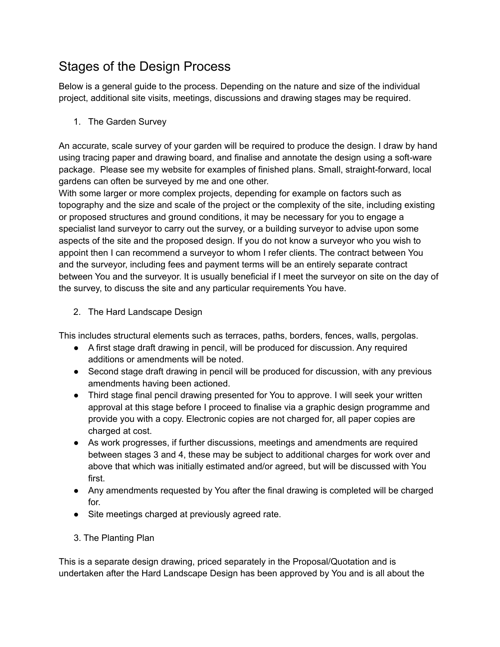# Stages of the Design Process

Below is a general guide to the process. Depending on the nature and size of the individual project, additional site visits, meetings, discussions and drawing stages may be required.

1. The Garden Survey

An accurate, scale survey of your garden will be required to produce the design. I draw by hand using tracing paper and drawing board, and finalise and annotate the design using a soft-ware package. Please see my website for examples of finished plans. Small, straight-forward, local gardens can often be surveyed by me and one other.

With some larger or more complex projects, depending for example on factors such as topography and the size and scale of the project or the complexity of the site, including existing or proposed structures and ground conditions, it may be necessary for you to engage a specialist land surveyor to carry out the survey, or a building surveyor to advise upon some aspects of the site and the proposed design. If you do not know a surveyor who you wish to appoint then I can recommend a surveyor to whom I refer clients. The contract between You and the surveyor, including fees and payment terms will be an entirely separate contract between You and the surveyor. It is usually beneficial if I meet the surveyor on site on the day of the survey, to discuss the site and any particular requirements You have.

2. The Hard Landscape Design

This includes structural elements such as terraces, paths, borders, fences, walls, pergolas.

- A first stage draft drawing in pencil, will be produced for discussion. Any required additions or amendments will be noted.
- Second stage draft drawing in pencil will be produced for discussion, with any previous amendments having been actioned.
- Third stage final pencil drawing presented for You to approve. I will seek your written approval at this stage before I proceed to finalise via a graphic design programme and provide you with a copy. Electronic copies are not charged for, all paper copies are charged at cost.
- As work progresses, if further discussions, meetings and amendments are required between stages 3 and 4, these may be subject to additional charges for work over and above that which was initially estimated and/or agreed, but will be discussed with You first.
- Any amendments requested by You after the final drawing is completed will be charged for.
- Site meetings charged at previously agreed rate.
- 3. The Planting Plan

This is a separate design drawing, priced separately in the Proposal/Quotation and is undertaken after the Hard Landscape Design has been approved by You and is all about the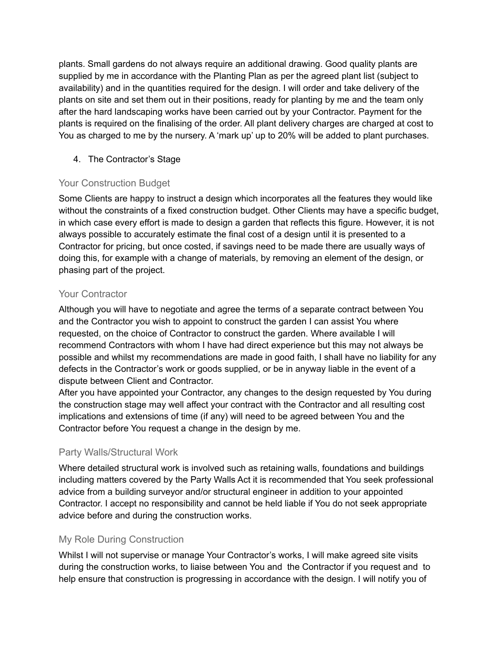plants. Small gardens do not always require an additional drawing. Good quality plants are supplied by me in accordance with the Planting Plan as per the agreed plant list (subject to availability) and in the quantities required for the design. I will order and take delivery of the plants on site and set them out in their positions, ready for planting by me and the team only after the hard landscaping works have been carried out by your Contractor. Payment for the plants is required on the finalising of the order. All plant delivery charges are charged at cost to You as charged to me by the nursery. A 'mark up' up to 20% will be added to plant purchases.

4. The Contractor's Stage

### Your Construction Budget

Some Clients are happy to instruct a design which incorporates all the features they would like without the constraints of a fixed construction budget. Other Clients may have a specific budget, in which case every effort is made to design a garden that reflects this figure. However, it is not always possible to accurately estimate the final cost of a design until it is presented to a Contractor for pricing, but once costed, if savings need to be made there are usually ways of doing this, for example with a change of materials, by removing an element of the design, or phasing part of the project.

### Your Contractor

Although you will have to negotiate and agree the terms of a separate contract between You and the Contractor you wish to appoint to construct the garden I can assist You where requested, on the choice of Contractor to construct the garden. Where available I will recommend Contractors with whom I have had direct experience but this may not always be possible and whilst my recommendations are made in good faith, I shall have no liability for any defects in the Contractor's work or goods supplied, or be in anyway liable in the event of a dispute between Client and Contractor.

After you have appointed your Contractor, any changes to the design requested by You during the construction stage may well affect your contract with the Contractor and all resulting cost implications and extensions of time (if any) will need to be agreed between You and the Contractor before You request a change in the design by me.

### Party Walls/Structural Work

Where detailed structural work is involved such as retaining walls, foundations and buildings including matters covered by the Party Walls Act it is recommended that You seek professional advice from a building surveyor and/or structural engineer in addition to your appointed Contractor. I accept no responsibility and cannot be held liable if You do not seek appropriate advice before and during the construction works.

### My Role During Construction

Whilst I will not supervise or manage Your Contractor's works, I will make agreed site visits during the construction works, to liaise between You and the Contractor if you request and to help ensure that construction is progressing in accordance with the design. I will notify you of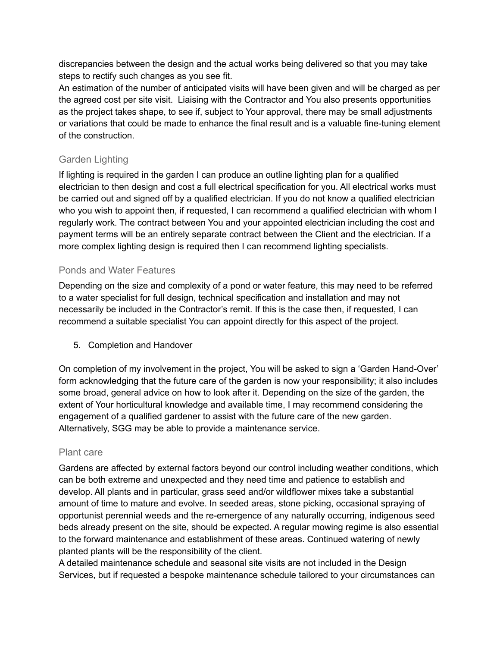discrepancies between the design and the actual works being delivered so that you may take steps to rectify such changes as you see fit.

An estimation of the number of anticipated visits will have been given and will be charged as per the agreed cost per site visit. Liaising with the Contractor and You also presents opportunities as the project takes shape, to see if, subject to Your approval, there may be small adjustments or variations that could be made to enhance the final result and is a valuable fine-tuning element of the construction.

### Garden Lighting

If lighting is required in the garden I can produce an outline lighting plan for a qualified electrician to then design and cost a full electrical specification for you. All electrical works must be carried out and signed off by a qualified electrician. If you do not know a qualified electrician who you wish to appoint then, if requested, I can recommend a qualified electrician with whom I regularly work. The contract between You and your appointed electrician including the cost and payment terms will be an entirely separate contract between the Client and the electrician. If a more complex lighting design is required then I can recommend lighting specialists.

#### Ponds and Water Features

Depending on the size and complexity of a pond or water feature, this may need to be referred to a water specialist for full design, technical specification and installation and may not necessarily be included in the Contractor's remit. If this is the case then, if requested, I can recommend a suitable specialist You can appoint directly for this aspect of the project.

5. Completion and Handover

On completion of my involvement in the project, You will be asked to sign a 'Garden Hand-Over' form acknowledging that the future care of the garden is now your responsibility; it also includes some broad, general advice on how to look after it. Depending on the size of the garden, the extent of Your horticultural knowledge and available time, I may recommend considering the engagement of a qualified gardener to assist with the future care of the new garden. Alternatively, SGG may be able to provide a maintenance service.

#### Plant care

Gardens are affected by external factors beyond our control including weather conditions, which can be both extreme and unexpected and they need time and patience to establish and develop. All plants and in particular, grass seed and/or wildflower mixes take a substantial amount of time to mature and evolve. In seeded areas, stone picking, occasional spraying of opportunist perennial weeds and the re-emergence of any naturally occurring, indigenous seed beds already present on the site, should be expected. A regular mowing regime is also essential to the forward maintenance and establishment of these areas. Continued watering of newly planted plants will be the responsibility of the client.

A detailed maintenance schedule and seasonal site visits are not included in the Design Services, but if requested a bespoke maintenance schedule tailored to your circumstances can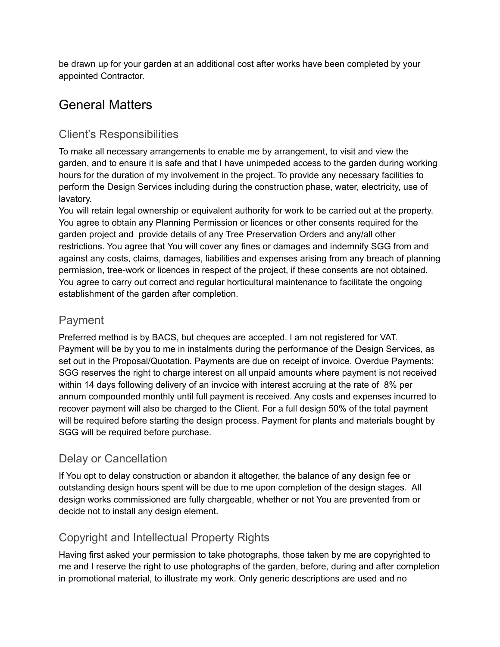be drawn up for your garden at an additional cost after works have been completed by your appointed Contractor.

## General Matters

### Client's Responsibilities

To make all necessary arrangements to enable me by arrangement, to visit and view the garden, and to ensure it is safe and that I have unimpeded access to the garden during working hours for the duration of my involvement in the project. To provide any necessary facilities to perform the Design Services including during the construction phase, water, electricity, use of lavatory.

You will retain legal ownership or equivalent authority for work to be carried out at the property. You agree to obtain any Planning Permission or licences or other consents required for the garden project and provide details of any Tree Preservation Orders and any/all other restrictions. You agree that You will cover any fines or damages and indemnify SGG from and against any costs, claims, damages, liabilities and expenses arising from any breach of planning permission, tree-work or licences in respect of the project, if these consents are not obtained. You agree to carry out correct and regular horticultural maintenance to facilitate the ongoing establishment of the garden after completion.

### Payment

Preferred method is by BACS, but cheques are accepted. I am not registered for VAT. Payment will be by you to me in instalments during the performance of the Design Services, as set out in the Proposal/Quotation. Payments are due on receipt of invoice. Overdue Payments: SGG reserves the right to charge interest on all unpaid amounts where payment is not received within 14 days following delivery of an invoice with interest accruing at the rate of 8% per annum compounded monthly until full payment is received. Any costs and expenses incurred to recover payment will also be charged to the Client. For a full design 50% of the total payment will be required before starting the design process. Payment for plants and materials bought by SGG will be required before purchase.

### Delay or Cancellation

If You opt to delay construction or abandon it altogether, the balance of any design fee or outstanding design hours spent will be due to me upon completion of the design stages. All design works commissioned are fully chargeable, whether or not You are prevented from or decide not to install any design element.

## Copyright and Intellectual Property Rights

Having first asked your permission to take photographs, those taken by me are copyrighted to me and I reserve the right to use photographs of the garden, before, during and after completion in promotional material, to illustrate my work. Only generic descriptions are used and no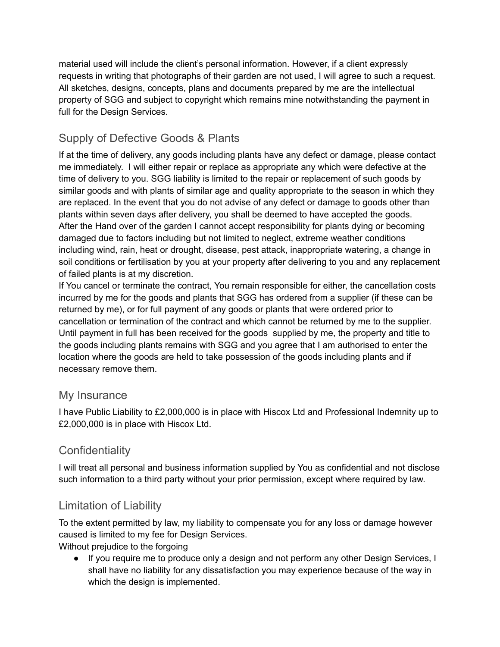material used will include the client's personal information. However, if a client expressly requests in writing that photographs of their garden are not used, I will agree to such a request. All sketches, designs, concepts, plans and documents prepared by me are the intellectual property of SGG and subject to copyright which remains mine notwithstanding the payment in full for the Design Services.

## Supply of Defective Goods & Plants

If at the time of delivery, any goods including plants have any defect or damage, please contact me immediately. I will either repair or replace as appropriate any which were defective at the time of delivery to you. SGG liability is limited to the repair or replacement of such goods by similar goods and with plants of similar age and quality appropriate to the season in which they are replaced. In the event that you do not advise of any defect or damage to goods other than plants within seven days after delivery, you shall be deemed to have accepted the goods. After the Hand over of the garden I cannot accept responsibility for plants dying or becoming damaged due to factors including but not limited to neglect, extreme weather conditions including wind, rain, heat or drought, disease, pest attack, inappropriate watering, a change in soil conditions or fertilisation by you at your property after delivering to you and any replacement of failed plants is at my discretion.

If You cancel or terminate the contract, You remain responsible for either, the cancellation costs incurred by me for the goods and plants that SGG has ordered from a supplier (if these can be returned by me), or for full payment of any goods or plants that were ordered prior to cancellation or termination of the contract and which cannot be returned by me to the supplier. Until payment in full has been received for the goods supplied by me, the property and title to the goods including plants remains with SGG and you agree that I am authorised to enter the location where the goods are held to take possession of the goods including plants and if necessary remove them.

### My Insurance

I have Public Liability to £2,000,000 is in place with Hiscox Ltd and Professional Indemnity up to £2,000,000 is in place with Hiscox Ltd.

## **Confidentiality**

I will treat all personal and business information supplied by You as confidential and not disclose such information to a third party without your prior permission, except where required by law.

### Limitation of Liability

To the extent permitted by law, my liability to compensate you for any loss or damage however caused is limited to my fee for Design Services.

Without prejudice to the forgoing

● If you require me to produce only a design and not perform any other Design Services, I shall have no liability for any dissatisfaction you may experience because of the way in which the design is implemented.